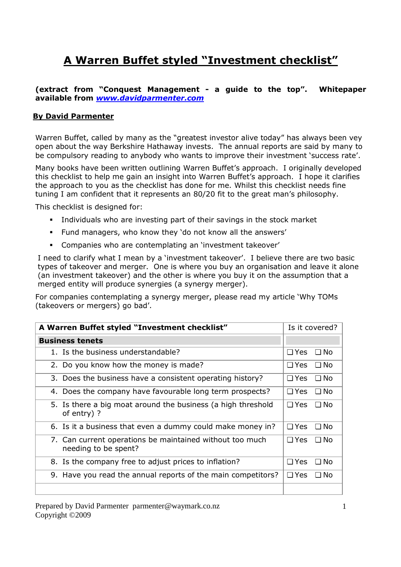## **A Warren Buffet styled "Investment checklist"**

**(extract from "Conquest Management - a guide to the top". Whitepaper available from** *www.davidparmenter.com*

## **By David Parmenter**

Warren Buffet, called by many as the "greatest investor alive today" has always been vey open about the way Berkshire Hathaway invests. The annual reports are said by many to be compulsory reading to anybody who wants to improve their investment 'success rate'.

Many books have been written outlining Warren Buffet's approach. I originally developed this checklist to help me gain an insight into Warren Buffet's approach. I hope it clarifies the approach to you as the checklist has done for me. Whilst this checklist needs fine tuning I am confident that it represents an 80/20 fit to the great man's philosophy.

This checklist is designed for:

- Individuals who are investing part of their savings in the stock market
- Fund managers, who know they 'do not know all the answers'
- Companies who are contemplating an 'investment takeover'

I need to clarify what I mean by a 'investment takeover'. I believe there are two basic types of takeover and merger. One is where you buy an organisation and leave it alone (an investment takeover) and the other is where you buy it on the assumption that a merged entity will produce synergies (a synergy merger).

For companies contemplating a synergy merger, please read my article 'Why TOMs (takeovers or mergers) go bad'.

| A Warren Buffet styled "Investment checklist"                                    | Is it covered?          |
|----------------------------------------------------------------------------------|-------------------------|
| <b>Business tenets</b>                                                           |                         |
| 1. Is the business understandable?                                               | $\Box$ Yes $\Box$ No    |
| 2. Do you know how the money is made?                                            | $\Box$ Yes<br>⊟ No      |
| 3. Does the business have a consistent operating history?                        | $\Box$ Yes<br>□ No      |
| 4. Does the company have favourable long term prospects?                         | $\Box$ Yes<br>⊟ No      |
| 5. Is there a big moat around the business (a high threshold<br>of entry)?       | $\Box$ Yes<br>⊟ No      |
| 6. Is it a business that even a dummy could make money in?                       | $\Box$ Yes<br>⊟ No      |
| 7. Can current operations be maintained without too much<br>needing to be spent? | $\Box$ Yes<br>$\Box$ No |
| 8. Is the company free to adjust prices to inflation?                            | $\Box$ Yes<br>⊟ No      |
| 9. Have you read the annual reports of the main competitors?                     | $\Box$ Yes<br>⊟ No      |
|                                                                                  |                         |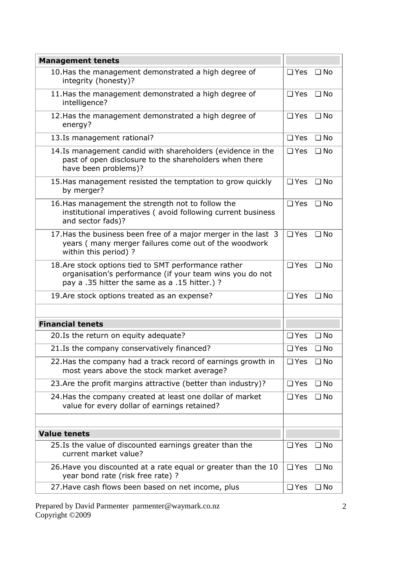| <b>Management tenets</b>                                                                                                                                        |               |              |
|-----------------------------------------------------------------------------------------------------------------------------------------------------------------|---------------|--------------|
| 10. Has the management demonstrated a high degree of<br>integrity (honesty)?                                                                                    | $\square$ Yes | $\Box$ No    |
| 11. Has the management demonstrated a high degree of<br>intelligence?                                                                                           | $\Box$ Yes    | $\Box$ No    |
| 12. Has the management demonstrated a high degree of<br>energy?                                                                                                 | $\square$ Yes | $\Box$ No    |
| 13.Is management rational?                                                                                                                                      | $\square$ Yes | $\Box$ No    |
| 14.Is management candid with shareholders (evidence in the<br>past of open disclosure to the shareholders when there<br>have been problems)?                    | $\square$ Yes | $\Box$ No    |
| 15. Has management resisted the temptation to grow quickly<br>by merger?                                                                                        | $\Box$ Yes    | $\Box$ No    |
| 16. Has management the strength not to follow the<br>institutional imperatives (avoid following current business<br>and sector fads)?                           | $\Box$ Yes    | $\Box$ No    |
| 17. Has the business been free of a major merger in the last 3<br>years (many merger failures come out of the woodwork<br>within this period) ?                 | $\square$ Yes | $\Box$ No    |
| 18.Are stock options tied to SMT performance rather<br>organisation's performance (if your team wins you do not<br>pay a .35 hitter the same as a .15 hitter.)? | $\square$ Yes | $\Box$ No    |
| 19. Are stock options treated as an expense?                                                                                                                    | $\square$ Yes | $\Box$ No    |
| <b>Financial tenets</b>                                                                                                                                         |               |              |
| 20. Is the return on equity adequate?                                                                                                                           | $\Box$ Yes    | $\Box$ No    |
| 21.Is the company conservatively financed?                                                                                                                      | $\square$ Yes | $\Box$ No    |
| 22. Has the company had a track record of earnings growth in<br>most years above the stock market average?                                                      | $\square$ Yes | $\Box$ No    |
| 23. Are the profit margins attractive (better than industry)?                                                                                                   | $\Box$ Yes    | $\square$ No |
| 24. Has the company created at least one dollar of market<br>value for every dollar of earnings retained?                                                       | $\square$ Yes | $\Box$ No    |
|                                                                                                                                                                 |               |              |
| <b>Value tenets</b>                                                                                                                                             |               |              |
| 25.Is the value of discounted earnings greater than the<br>current market value?                                                                                | $\square$ Yes | $\Box$ No    |
| 26. Have you discounted at a rate equal or greater than the 10<br>year bond rate (risk free rate) ?                                                             | $\Box$ Yes    | $\square$ No |
| 27. Have cash flows been based on net income, plus                                                                                                              | $\Box$ Yes    | $\Box$ No    |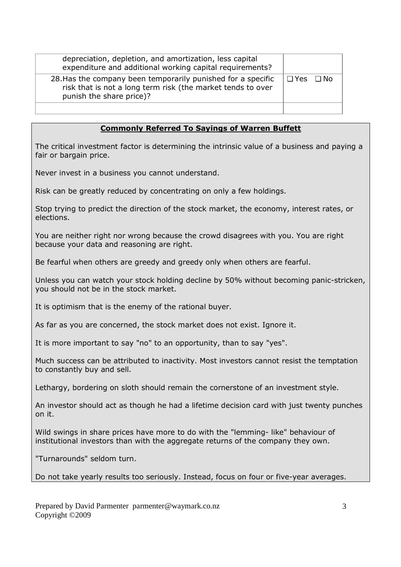| depreciation, depletion, and amortization, less capital<br>expenditure and additional working capital requirements?                                     |                      |
|---------------------------------------------------------------------------------------------------------------------------------------------------------|----------------------|
| 28. Has the company been temporarily punished for a specific<br>risk that is not a long term risk (the market tends to over<br>punish the share price)? | $\Box$ Yes $\Box$ No |
|                                                                                                                                                         |                      |

## **Commonly Referred To Sayings of Warren Buffett**

The critical investment factor is determining the intrinsic value of a business and paying a fair or bargain price.

Never invest in a business you cannot understand.

Risk can be greatly reduced by concentrating on only a few holdings.

Stop trying to predict the direction of the stock market, the economy, interest rates, or elections.

You are neither right nor wrong because the crowd disagrees with you. You are right because your data and reasoning are right.

Be fearful when others are greedy and greedy only when others are fearful.

Unless you can watch your stock holding decline by 50% without becoming panic-stricken, you should not be in the stock market.

It is optimism that is the enemy of the rational buyer.

As far as you are concerned, the stock market does not exist. Ignore it.

It is more important to say "no" to an opportunity, than to say "yes".

Much success can be attributed to inactivity. Most investors cannot resist the temptation to constantly buy and sell.

Lethargy, bordering on sloth should remain the cornerstone of an investment style.

An investor should act as though he had a lifetime decision card with just twenty punches on it.

Wild swings in share prices have more to do with the "lemming- like" behaviour of institutional investors than with the aggregate returns of the company they own.

"Turnarounds" seldom turn.

Do not take yearly results too seriously. Instead, focus on four or five-year averages.

Prepared by David Parmenter parmenter@waymark.co.nz Copyright ©2009